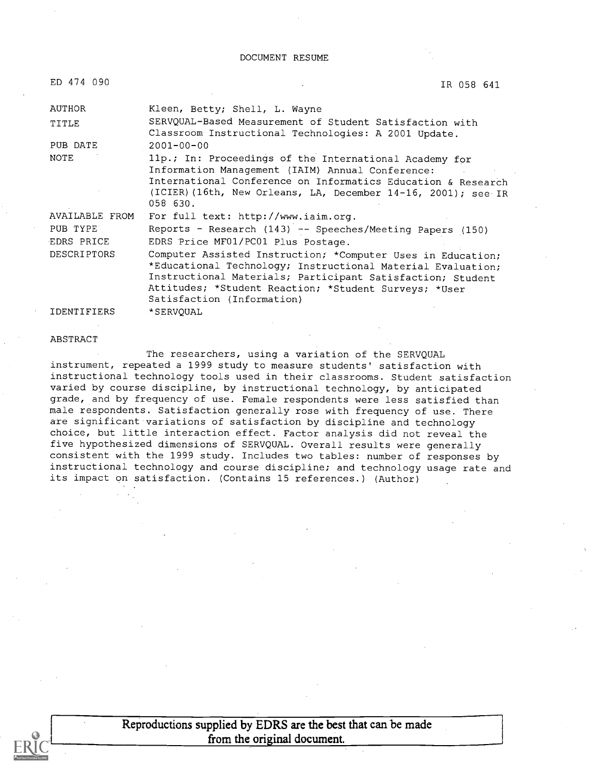#### DOCUMENT RESUME

IR 058 641

| AUTHOR             | Kleen, Betty; Shell, L. Wayne                                 |
|--------------------|---------------------------------------------------------------|
| TITLE              | SERVQUAL-Based Measurement of Student Satisfaction with       |
|                    | Classroom Instructional Technologies: A 2001 Update.          |
| PUB DATE           | $2001 - 00 - 00$                                              |
| <b>NOTE</b>        | 11p.; In: Proceedings of the International Academy for        |
|                    | Information Management (IAIM) Annual Conference:              |
|                    | International Conference on Informatics Education & Research  |
|                    | (ICIER) (16th, New Orleans, LA, December 14-16, 2001); see IR |
|                    | 058 630.                                                      |
| AVAILABLE FROM     | For full text: http://www.iaim.org.                           |
| PUB TYPE           | Reports - Research (143) -- Speeches/Meeting Papers (150)     |
| EDRS PRICE         | EDRS Price MF01/PC01 Plus Postage.                            |
| DESCRIPTORS        | Computer Assisted Instruction; *Computer Uses in Education;   |
|                    | *Educational Technology; Instructional Material Evaluation;   |
|                    | Instructional Materials; Participant Satisfaction; Student    |
|                    | Attitudes; *Student Reaction; *Student Surveys; *User         |
|                    | Satisfaction (Information)                                    |
| <b>IDENTIFIERS</b> | *SERVOUAL                                                     |

#### ABSTRACT

The researchers, using a variation of the SERVQUAL instrument, repeated a 1999 study to measure students' satisfaction with instructional technology tools used in their classrooms. Student satisfaction varied by course discipline, by instructional technology, by anticipated grade, and by frequency of use. Female respondents were less satisfied than male respondents. Satisfaction generally rose with frequency of use. There are significant variations of satisfaction by discipline and technology choice, but little interaction effect. Factor analysis did not reveal the five hypothesized dimensions of SERVQUAL. Overall results were generally consistent with the 1999 study. Includes two tables: number of responses by instructional technology and course discipline; and technology usage rate and its impact on satisfaction. (Contains 15 references.) (Author)

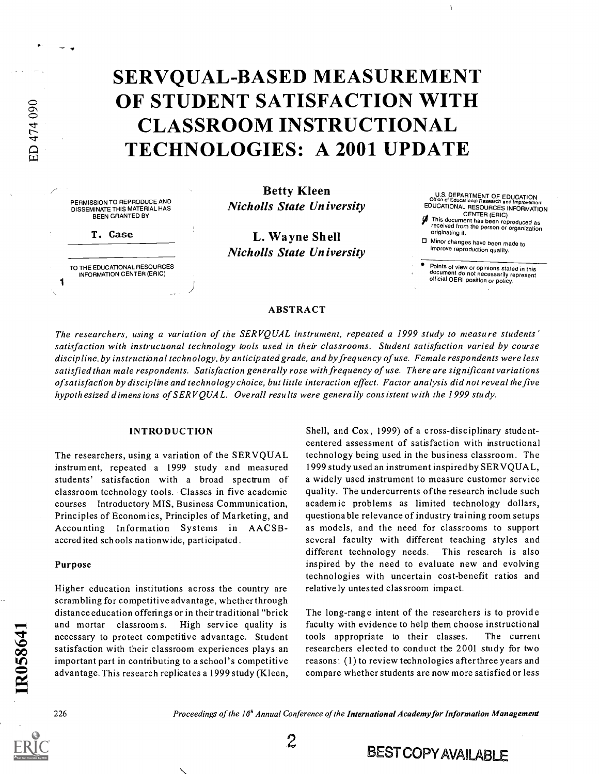# SERVQUAL-BASED MEASUREMENT OF STUDENT SATISFACTION WITH CLASSROOM INSTRUCTIONAL TECHNOLOGIES: A 2001 UPDATE

PERMISSION TO REPRODUCE AND DISSEMINATE THIS MATERIAL HAS BEEN GRANTED BY

T. Case

11 - 12 - 12 - 12

ED 474 090

TO THE EDUCATIONAL RESOURCES INFORMATION CENTER (ERIC)

Betty Kleen Nicholls State University

L. Wayne Shell Nicholls State University

U.S. DEPARTMENT OF EDUCATION Office of Educational Research and Improvement EDUCATIONAL RESOURCES INFORMATION CENTER (ERIC)<br>This document has been reproduced as<br>received from the person or organization originating it. Minor changes have been made to improve reproduction quality.

Points of view or opinions stated in this document do not necessarily represent official OERI position or policy.

#### ABSTRACT

The researchers, using a variation of the SERVQUAL instrument, repeated a 1999 study to measure students' satisfaction with instructional technology tools used in their classrooms. Student satisfaction varied by course discipline, by instructional technology, by anticipated grade, and by frequency of use. Female respondents were less satisfied than male respondents. Satisfaction generally rose with frequency of use. There are significant variations ofsatisfaction by discipline and technology choice, but little interaction effect. Factor analysis did not reveal the five hypothesized dimensions of SERV QUAL. Overall results were generally consistent with the 1999 study.

#### INTRODUCTION

The researchers, using a variation of the SERVQUAL instrument, repeated a 1999 study and measured students' satisfaction with a broad spectrum of classroom technology tools. Classes in five academic courses Introductory MIS, Business Communication, Principles of Economics, Principles of Marketing, and Accounting Information Systems in AACSBaccred ited sch ools nationwide, participated.

#### Purpose

Higher education institutions across the country are scrambling for competitive advantage, whether through distance education offerings or in their traditional "brick and mortar classroom s. High service quality is necessary to protect competitive advantage. Student satisfaction with their classroom experiences plays an important part in contributing to a school's competitive advantage. This research replicates a 1999 study (Kleen, Shell, and Cox, 1999) of a cross-disciplinary studentcentered assessment of satisfaction with instructional technology being used in the bus iness classroom. The 1999 study used an instrument inspiredby SERVQUAL, a widely used instrument to measure customer service quality. The undercurrents of the research include such academic problems as limited technology dollars, questiona ble relevance of industry training room setups as models, and the need for classrooms to support several faculty with different teaching styles and different technology needs. This research is also inspired by the need to evaluate new and evolving technologies with uncertain cost-benefit ratios and relative ly untested classroom impact.

The long-range intent of the researchers is to provide faculty with evidence to help them choose instructional tools appropriate to their classes. The current researchers elected to conduct the 2001 study for two reasons: (1) to review technologies afterthree years and compare whether students are now more satisfied or less

IR058641

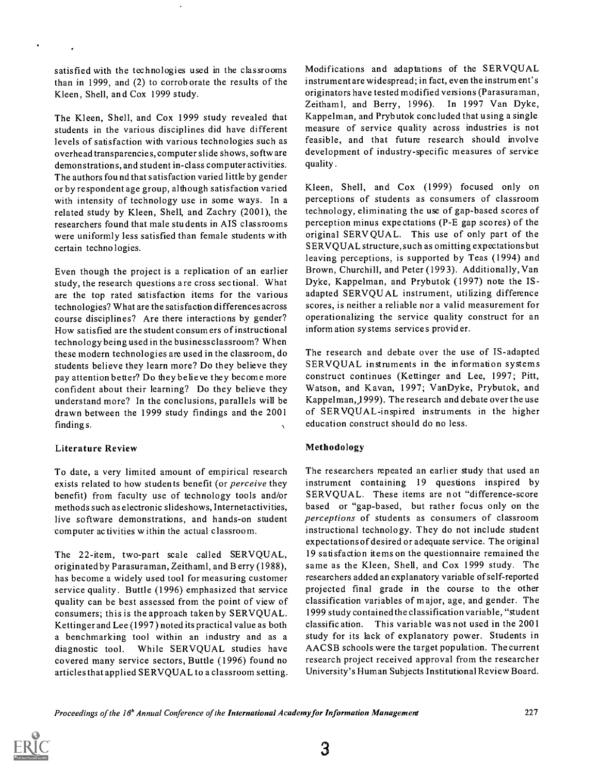satisfied with the technologies used in the classrooms than in 1999, and (2) to corroborate the results of the Kleen, Shell, and Cox 1999 study.

The Kleen, Shell, and Cox 1999 study revealed that students in the various disciplines did have different levels of satisfaction with various technologies such as overhead transparencies, computer slide shows, softw are demonstrations, and student in-class computer activities. The authors found that satisfaction varied little by gender or by respondent age group, although satisfaction varied with intensity of technology use in some ways. In a related study by Kleen, Shell, and Zachry (2001), the researchers found that male students in AIS classrooms were uniformly less satisfied than female students with certain technologies.

Even though the project is a replication of an earlier study, the research questions are cross sectional. What are the top rated satisfaction items for the various technologies? What are the satisfaction differences across course disciplines? Are there interactions by gender? How satisfied are the student consum ers of instructional technology being used in the business classroom? When these modern technologies are used in the classroom, do students believe they learn more? Do they believe they pay attention better? Do they believe they become more confident about their learning? Do they believe they understand more? In the conclusions, parallels will be drawn between the 1999 study findings and the 2001 finding s.

### Literature Review

To date, a very limited amount of empirical research exists related to how students benefit (or *perceive* they benefit) from faculty use of technology tools and/or methods such as electronic slideshows, Internet activities, live software demonstrations, and hands-on student computer activities within the actual classroom.

The 22-item, two-part scale called SERVQUAL, originated by Parasuraman, Zeithaml, and B erry (1988), has become a widely used tool for measuring customer service quality. Buttle (1996) emphasized that service quality can be best assessed from the point of view of consumers; this is the approach taken by SERVQUAL. Kettinger and Lee (1997) noted its practical value as both a benchmarking tool within an industry and as a diagnostic tool. While SERVQUAL studies have covered many service sectors, Buttle (1996) found no articles that applied SERVQUAL to a classroom setting. Modifications and adaptations of the SERVQUAL instrument are widespread; in fact, even the instrument's originators have tested modified versions (Parasuraman, Zeithaml, and Berry, 1996). In 1997 Van Dyke, Kappelman, and Prybutok concluded that using a single measure of service quality across industries is not feasible, and that future research should involve development of industry-specific measures of service quality .

Kleen, Shell, and Cox (1999) focused only on perceptions of students as consumers of classroom technology, eliminating the use of gap-based scores of perception minus expectations (P-E gap scores) of the original SERVQUAL. This use of only part of the SERVQUAL structure, such as omitting expectations but leaving perceptions, is supported by Teas (1994) and Brown, Churchill, and Peter (199 3). Additionally, Van Dyke, Kappelman, and Prybutok (1997) note the ISadapted SERVQUAL instrument, utilizing difference scores, is neither a reliable nor a valid measurement for operationalizing the service quality construct for an information sy stems services provider.

The research and debate over the use of IS-adapted SERVQUAL instruments in the information systems construct continues (Kettinger and Lee, 1997; Pitt, Watson, and Kavan, 1997; VanDyke, Prybutok, and Kappelman,) 999). The research and debate over the use of SERVQUAL-inspired instruments in the higher education construct should do no less.

# Methodology

The researchers repeated an earlier study that used an instrument containing 19 questions inspired by SERVQUAL. These items are not "difference-score based or "gap-based, but rather focus only on the perceptions of students as consumers of classroom instructional technology. They do not include student expectations of desired or adequate service. The original 19 satisfaction items on the questionnaire remained the same as the Kleen, Shell, and Cox 1999 study. The researchers added an explanatory variable of self-reported projected final grade in the course to the other classification variables of major, age, and gender. The 1999 study contained the classification variable, "student classification. This variable was not used in the 2001 study for its lack of explanatory power. Students in AACSB schools were the target population. The current research project received approval from the researcher University's Human Subjects Institutional Review Board.

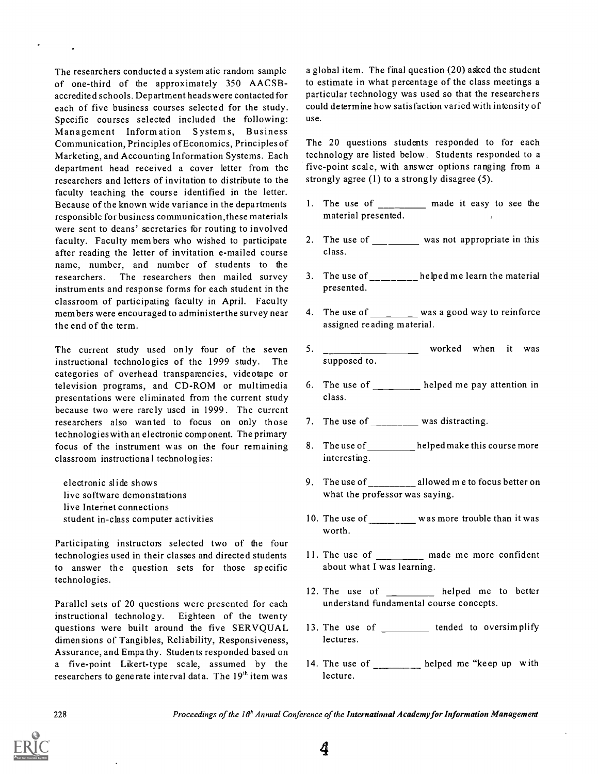The researchers conducted a system atic random sample of one-third of the approximately 350 AACSBaccredited schools. Department heads were contacted for each of five business courses selected for the study. Specific courses selected included the following: Management Information Systems, Business Communication, Principles ofEconomics, Principles of Marketing, and Accounting Information Systems. Each department head received a cover letter from the researchers and letters of invitation to distribute to the faculty teaching the course identified in the letter. Because of the known wide variance in the departments responsible for business communication, these materials were sent to deans' secretaries for routing to involved faculty. Faculty members who wished to participate after reading the letter of invitation e-mailed course name, number, and number of students to the researchers. The researchers then mailed survey instruments and response forms for each student in the classroom of participating faculty in April. Faculty members were encouraged to administerthe survey near the end of the term.

The current study used only four of the seven 5. instructional technologies of the 1999 study. The categories of overhead transparencies, videotape or television programs, and CD-ROM or multimedia presentations were eliminated from the current study because two were rare ly used in 1999. The current researchers also wanted to focus on only those technologies with an electronic component. The primary focus of the instrument was on the four remaining classroom instructiona 1 technologies:

electronic slide shows live software demonstrations live Internet connections student in-class computer activities

Participating instructors selected two of the four technologies used in their classes and directed students to answer the question sets for those specific technologies.

Parallel sets of 20 questions were presented for each instructional technology. Eighteen of the twenty questions were built around the five SERVQUAL dimensions of Tangibles, Reliability, Responsiveness, Assurance, and Empathy. Students responded based on a five-point Likert-type scale, assumed by the researchers to generate interval data. The  $19<sup>th</sup>$  item was

a global item. The final question (20) asked the student to estimate in what percentage of the class meetings a particular technology was used so that the researchers could determine how satisfaction varied with intensity of use.

The 20 questions students responded to for each technology are listed below. Students responded to a five-point scale, with answer options ranging from a strongly agree (1) to a strong ly disagree (5).

- 1. The use of \_\_\_\_\_\_\_\_\_ made it easy to see the material presented.
- 2. The use of <u>equal comes</u> was not appropriate in this class.
- 3. The use of  $\frac{1}{1-\frac{1}{1-\frac{1}{1-\frac{1}{1-\frac{1}{1-\frac{1}{1-\frac{1}{1-\frac{1}{1-\frac{1}{1-\frac{1}{1-\frac{1}{1-\frac{1}{1-\frac{1}{1-\frac{1}{1-\frac{1}{1-\frac{1}{1-\frac{1}{1-\frac{1}{1-\frac{1}{1-\frac{1}{1-\frac{1}{1-\frac{1}{1-\frac{1}{1-\frac{1}{1-\frac{1}{1-\frac{1}{1-\frac{1}{1-\frac{1}{1-\frac{1}{1-\frac{1}{1-\frac{1}{1-\frac{1}{1-\frac{1}{1-\frac{1}{1-\frac$ presented.
- 4. The use of was a good way to reinforce assigned re ading material.
- worked when it was supposed to.
- 6. The use of  $\frac{1}{\sqrt{1-\frac{1}{\sqrt{1-\frac{1}{\sqrt{1-\frac{1}{\sqrt{1-\frac{1}{\sqrt{1-\frac{1}{\sqrt{1-\frac{1}{\sqrt{1-\frac{1}{\sqrt{1-\frac{1}{\sqrt{1-\frac{1}{\sqrt{1-\frac{1}{\sqrt{1-\frac{1}{\sqrt{1-\frac{1}{\sqrt{1-\frac{1}{\sqrt{1-\frac{1}{\sqrt{1-\frac{1}{\sqrt{1-\frac{1}{\sqrt{1-\frac{1}{\sqrt{1-\frac{1}{\sqrt{1-\frac{1}{\sqrt{1-\frac{1}{\sqrt{1-\frac{1}{\sqrt{1-\frac{1}{\sqrt{$ class.
- 7. The use of  $\frac{1}{\sqrt{2}}$  was distracting.
- 8. The use of \_\_\_\_\_\_\_\_\_\_helped make this course more interesting.
- 9. The use of \_\_\_\_\_\_\_\_ allowed m e to focus better on what the professor was saying.
- 10. The use of \_\_\_\_\_\_\_\_\_\_\_ was more trouble than it was worth.
- 11. The use of \_\_\_\_\_\_\_\_\_ made me more confident about what I was learning.
- 12. The use of \_\_\_\_\_\_\_\_ helped me to better understand fundamental course concepts.
- 13. The use of \_\_\_\_\_\_\_\_\_\_ tended to oversimplify lectures.
- 14. The use of \_\_\_\_\_\_\_\_\_ helped me "keep up with lecture.

228 Proceedings of the 16<sup>h</sup> Annual Conference of the International Academy for Information Management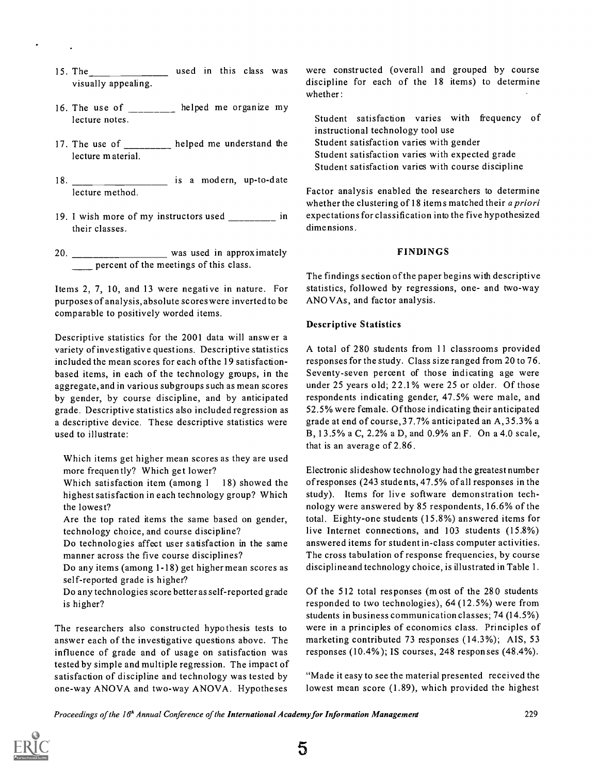- 15. The encodence and used in this class was were visually appealing.
- 16. The use of  $\frac{1}{\frac{1}{1-\frac{1}{1-\frac{1}{1-\frac{1}{1-\frac{1}{1-\frac{1}{1-\frac{1}{1-\frac{1}{1-\frac{1}{1-\frac{1}{1-\frac{1}{1-\frac{1}{1-\frac{1}{1-\frac{1}{1-\frac{1}{1-\frac{1}{1-\frac{1}{1-\frac{1}{1-\frac{1}{1-\frac{1}{1-\frac{1}{1-\frac{1}{1-\frac{1}{1-\frac{1}{1-\frac{1}{1-\frac{1}{1-\frac{1}{1-\frac{1}{1-\frac{1}{1-\frac{1}{1-\frac{1}{1-\frac{1}{1-\frac{1}{1-\frac$ lecture notes.
- 17. The use of \_\_\_\_\_\_\_\_ helped me understand the lecture material.
- 18. \_\_\_\_\_\_\_\_\_\_\_\_\_ is a modern, up-to-date lecture method.
- 19. I wish more of my instructors used \_\_\_\_\_\_\_\_ in their classes.
- 20. \_\_\_\_\_\_\_\_\_\_\_\_\_\_\_\_\_\_\_\_\_ was used in approximately percent of the meetings of this class.

Items 2, 7, 10, and 13 were negative in nature. For purposes of analysis, absolute scores were inverted to be comparable to positively worded items.

Descriptive statistics for the 2001 data will answer a variety of investigative questions. Descriptive statistics included the mean scores for each ofthe 19 satisfactionbased items, in each of the technology groups, in the aggregate, and in various subgroups such as mean scores by gender, by course discipline, and by anticipated grade. Descriptive statistics also included regression as a descriptive device. These descriptive statistics were used to illustrate:

Which items get higher mean scores as they are used more frequently? Which get lower?

Which satisfaction item (among 1 18) showed the highest satisfaction in each technology group? Which the lowest?

Are the top rated items the same based on gender, technology choice, and course discipline?

Do technologies affect user satisfaction in the same manner across the five course disciplines?

Do any items (among 1-18) get higher mean scores as self-reported grade is higher?

Do any technologies score better as self-reported grade is higher?

The researchers also constructed hypothesis tests to answer each of the investigative questions above. The influence of grade and of usage on satisfaction was tested by simple and multiple regression. The impact of satisfaction of discipline and technology was tested by one-way ANOVA and two-way ANOVA. Hypotheses

were constructed (overall and grouped by course discipline for each of the 18 items) to determine whether :

Student satisfaction varies with frequency of instructional technology tool use Student satisfaction varies with gender Student satisfaction varies with expected grade Student satisfaction varies with course discipline

Factor analysis enabled the researchers to determine whether the clustering of 18 items matched their *a priori* expectations for classification into the five hypothesized dimensions.

#### FINDINGS

The findings section of the paper begins with descriptive statistics, followed by regressions, one- and two-way ANO VAs , and factor analysis.

#### Descriptive Statistics

A total of 280 students from 11 classrooms provided responses for the study. Class size ranged from 20 to 76. Seventy-seven percent of those indicating age were under 25 years old; 22.1% were 25 or older. Of those respondents indicating gender, 47.5% were male, and 52.5% were female. Of those indicating their anticipated grade at end of course,37.7% anticipated an A,35.3% a B, 13.5% a C, 2.2% a D, and 0.9% an F. On a 4.0 scale, that is an average of 2.86.

Electronic slideshow technology had the greatest number of responses (243 students, 47.5% of all responses in the study). Items for live software demonstration technology were answered by 85 respondents, 16.6% of the total. Eighty-one students (15.8%) answered items for live Internet connections, and 103 students (15.8%) answered items for student in-class computer activities. The cross tabulation of response frequencies, by course discipline and technology choice, is illustrated in Table 1.

Of the 512 total responses (m ost of the 280 students responded to two technologies), 64 (12.5%) were from students in business communication classes; 74 (14.5%) were in a principles of economics class. Principles of marketing contributed 73 responses (14.3%); AIS, 53 responses (10.4% ); IS courses, 248 responses (48.4%).

"Made it easy to see the material presented received the lowest mean score (1.89), which provided the highest

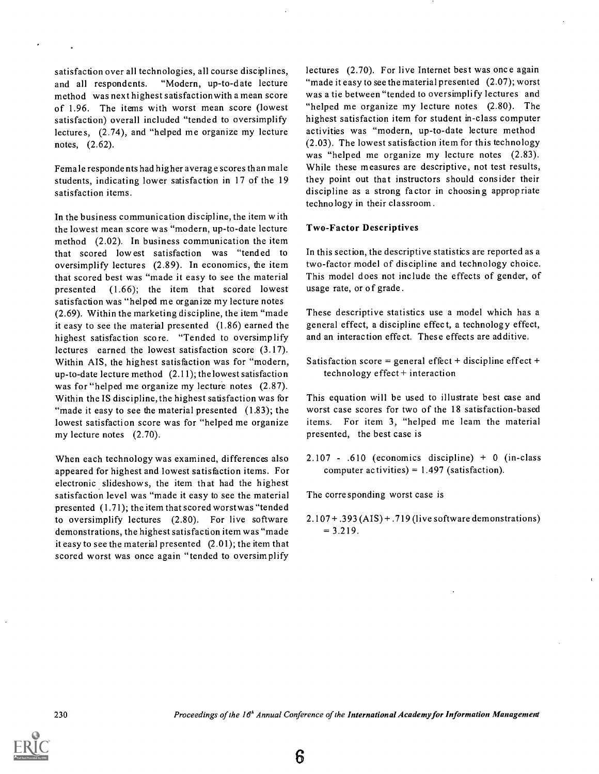satisfaction over all technologies, all course disciplines, and all respondents. "Modern, up-to-date lecture method was next highest satisfactionwith a mean score of 1.96. The items with worst mean score (lowest satisfaction) overall included "tended to oversimplify lectures, (2.74), and "helped me organize my lecture notes, (2.62).

Female responde nts had hig her average scores than male students, indicating lower satisfaction in 17 of the 19 satisfaction items.

In the business communication discipline, the item with the lowest mean score was "modern, up-to-date lecture method (2.02). In business communication the item that scored lowest satisfaction was "tended to oversimplify lectures (2.89). In economics, the item that scored best was "made it easy to see the material presented (1.66); the item that scored lowest satisfaction was "helped me organize my lecture notes (2.69). Within the marketing discipline, the item "made it easy to see the material presented (1.86) earned the highest satisfaction score. "Tended to oversimplify lectures earned the lowest satisfaction score (3.17). Within AIS, the highest satisfaction was for "modern, up-to-date lecture method (2.11); the lowest satisfaction was for "helped me organize my lecture notes (2.87). Within the IS discipline, the highest satisfaction was for "made it easy to see the material presented (1.83); the lowest satisfaction score was for "helped me organize my lecture notes (2.70).

When each technology was examined, differences also appeared for highest and lowest satisfaction items. For electronic slideshow s, the item that had the highest satisfaction level was "made it easy to see the material presented (1.71); the item that scored worstwas "tended to oversimplify lectures (2.80). For live software demonstrations, the highest satisfaction item was "made it easy to see the material presented (2.01); the item that scored worst was once again "tended to oversimplify

lectures (2.70). For live Internet best was once again "made it easy to see the material presented (2.07); worst was a tie between "tended to oversimplify lectures and "helped me organize my lecture notes (2.80). The highest satisfaction item for student in-class computer activities was "modern, up-to-date lecture method (2.03). The lowest satisfaction item for this technology was "helped me organize my lecture notes  $(2.83)$ . While these measures are descriptive, not test results, they point out that instructors should consider their discipline as a strong factor in choosing appropriate technology in their classroom.

#### Two-Factor Descriptives

In this section, the descriptive statistics are reported as a two-factor model of discipline and technology choice. This model does not include the effects of gender, of usage rate, or of grade.

These descriptive statistics use a model which has a general effect, a discipline effect, a technology effect, and an interaction effect. These effects are additive.

Satisfaction score = general effect + discipline effect + technology effect + interaction

This equation will be used to illustrate best case and worst case scores for two of the 18 satisfaction-based items. For item 3, "helped me leam the material presented, the best case is

2.107 - .610 (economics discipline) + 0 (in-class computer activities) =  $1.497$  (satisfaction).

The corresponding worst case is

2.107 +.393 (AIS) + .719 (live software demonstrations)  $= 3.219.$ 

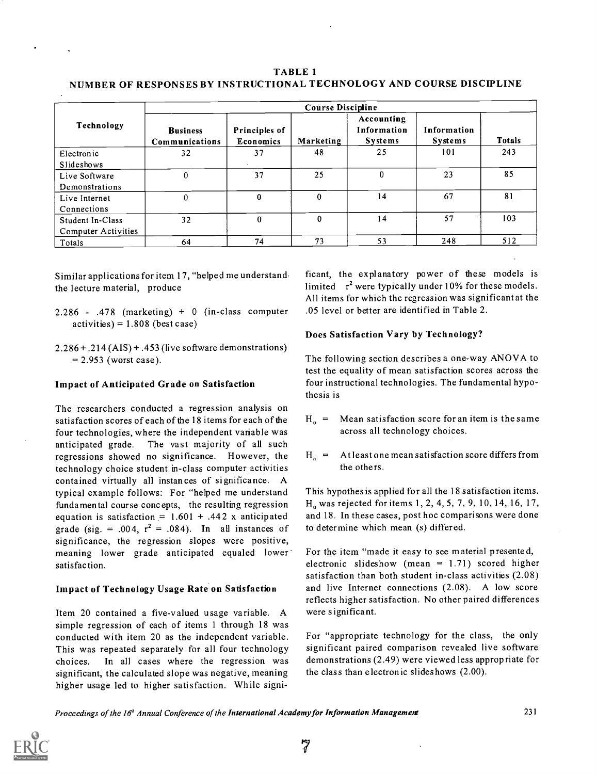### TABLE 1 NUMBER OF RESPONSES BY INSTRUCTIONAL TECHNOLOGY AND COURSE DISCIPLINE

| Technology          | <b>Course Discipline</b>          |                            |           |                                             |                               |               |  |  |
|---------------------|-----------------------------------|----------------------------|-----------|---------------------------------------------|-------------------------------|---------------|--|--|
|                     | <b>Business</b><br>Communications | Principles of<br>Economics | Marketing | Accounting<br>Information<br><b>Systems</b> | Information<br><b>Systems</b> | <b>Totals</b> |  |  |
| Electronic          | 32                                | 37                         | 48        | 25                                          | 101                           | 243           |  |  |
| Slideshows          |                                   |                            |           |                                             |                               |               |  |  |
| Live Software       | 0                                 | 37                         | 25        | 0                                           | 23                            | 85            |  |  |
| Demonstrations      |                                   |                            |           |                                             |                               |               |  |  |
| Live Internet       | 0                                 | 0                          | 0         | 14                                          | 67                            | 81            |  |  |
| Connections         |                                   |                            |           |                                             |                               |               |  |  |
| Student In-Class    | 32                                | $\bf{0}$                   | $\Omega$  | 14                                          | 57                            | 103           |  |  |
| Computer Activities |                                   |                            |           |                                             |                               |               |  |  |
| Totals              | 64                                | 74                         | 73        | 53                                          | 248                           | 512           |  |  |

Similar applications for item 17, "helped me understand, the lecture material, produce

- $2.286$  .478 (marketing) + 0 (in-class computer  $\text{activities}$  = 1.808 (best case)
- $2.286 + .214$  (AIS) + .453 (live software demonstrations)  $= 2.953$  (worst case).

### Impact of Anticipated Grade on Satisfaction

The researchers conducted a regression analysis on satisfaction scores of each of the 18 items for each of the  $H_0 =$ four technologies, where the independent variable was anticipated grade. The vast majority of all such regressions showed no significance. However, the  $H_a$  = technology choice student in-class computer activities contained virtually all instances of significance. A typical example follows: For "helped me understand fundamental course concepts, the resulting regression equation is satisfaction =  $1.601 + .442$  x anticipated grade (sig. = .004,  $r^2$  = .084). In all instances of significance, the regression slopes were positive, meaning lower grade anticipated equaled lower satisfaction.

### Impact of Technology Usage Rate on Satisfaction

Item 20 contained a five-valued usage variable. A simple regression of each of items 1 through 18 was conducted with item 20 as the independent variable. This was repeated separately for all four technology choices. In all cases where the regression was significant, the calculated slope was negative, meaning higher usage led to higher satisfaction. While significant, the explanatory power of these models is limited  $r^2$  were typically under 10% for these models. All items for which the regression was significant at the .05 level or better are identified in Table 2.

# Does Satisfaction Vary by Technology?

The following section describes a one-way ANOVA to test the equality of mean satisfaction scores across the four instructional technologies. The fundamental hypothesis is

- Mean satisfaction score for an item is the same across all technology choices.
- At least one mean satisfaction score differs from the others.

This hypothesis applied for all the 18 satisfaction items. H. was rejected for items 1, 2, 4, 5, 7, 9, 10, 14, 16, 17, and 18. In these cases, post hoc comparisons were done to determine which mean (s) differed.

For the item "made it easy to see material presented, electronic slideshow (mean  $= 1.71$ ) scored higher satisfaction than both student in-class activities (2.08) and live Internet connections (2.08). A low score reflects higher satisfaction. No other paired differences were significant.

For "appropriate technology for the class, the only significant paired comparison revealed live software demonstrations (2.49) were viewed less appropriate for the class than electronic slides hows (2.00).

Proceedings of the 16° Annual Conference of the International Academyfor Information Management 231

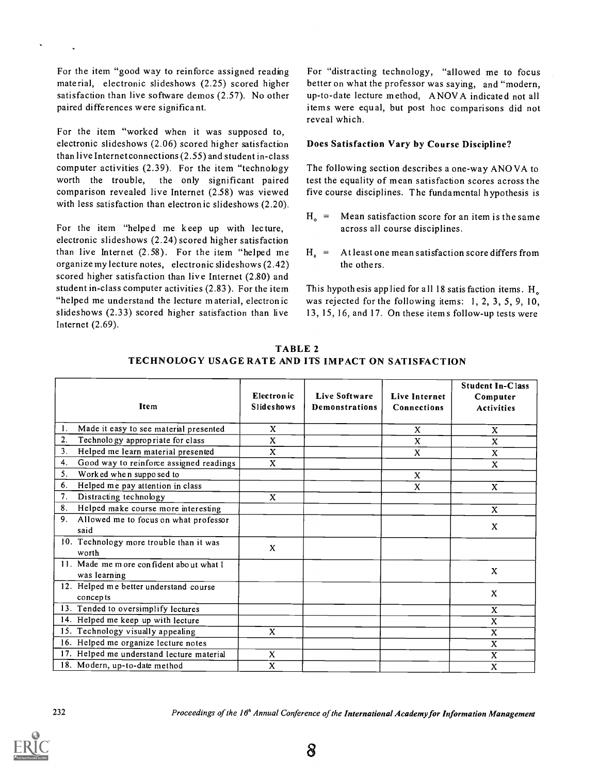For the item "good way to reinforce assigned reading material, electronic slideshows (2.25) scored higher satisfaction than live software demos (2.57). No other paired differences were significant.

For the item "worked when it was supposed to, electronic slideshows (2.06) scored higher satisfaction than live Internet connections (2.55) and student in-class computer activities (2.39). For the item "technology worth the trouble, the only significant paired comparison revealed live Internet (2.58) was viewed with less satisfaction than electronic slideshows (2.20).

For the item "helped me keep up with lecture, electronic slideshows (2.24) scored higher satisfaction than live Internet  $(2.58)$ . For the item "helped me  $H<sub>a</sub> =$ organize my lecture notes, electronic slideshows (2.42) scored higher satisfaction than live Internet (2.80) and student in-class computer activities (2.83). For the item "helped me understand the lecture material, electronic slideshows (2.33) scored higher satisfaction than live Internet (2.69).

For "distracting technology, "allowed me to focus better on what the professor was saying, and "modern, up-to-date lecture method, ANOVA indicate d not all items were equal, but post hoc comparisons did not reveal which.

#### Does Satisfaction Vary by Course Discipline?

The following section describes a one-way ANO VA to test the equality of mean satisfaction scores across the five course disciplines. The fundamental hypothesis is

- $H_0$  = Mean satisfaction score for an item is the same across all course disciplines.
- At least one mean satisfaction score differs from the others.

This hypothesis app lied for all 18 satis faction items . H. was rejected for the following items: 1, 2, 3, 5, 9, 10, 13, 15, 16, and 17. On these items follow-up tests were

| Item                                                     | Electron ic<br><b>Slideshows</b> | <b>Live Software</b><br>Demonstrations | <b>Live Internet</b><br><b>Connections</b> | <b>Student In-Class</b><br>Computer<br><b>Activities</b> |
|----------------------------------------------------------|----------------------------------|----------------------------------------|--------------------------------------------|----------------------------------------------------------|
| 1.<br>Made it easy to see material presented             | X                                |                                        | X                                          | X                                                        |
| 2.<br>Technology appropriate for class                   | X                                |                                        | X                                          | X                                                        |
| 3.<br>Helped me learn material presented                 | X                                |                                        | X                                          | X                                                        |
| 4.<br>Good way to reinforce assigned readings            | X                                |                                        |                                            | X                                                        |
| 5.<br>Worked when supposed to                            |                                  |                                        | X                                          |                                                          |
| 6.<br>Helped me pay attention in class                   |                                  |                                        | X                                          | X                                                        |
| Distracting technology<br>7.                             | $\mathbf{x}$                     |                                        |                                            |                                                          |
| 8.<br>Helped make course more interesting                |                                  |                                        |                                            | X                                                        |
| 9.<br>Allowed me to focus on what professor<br>said      |                                  |                                        |                                            | X                                                        |
| 10. Technology more trouble than it was<br>worth         | X                                |                                        |                                            |                                                          |
| 11. Made me m ore confident about what I<br>was learning |                                  |                                        |                                            | $\mathbf{x}$                                             |
| 12. Helped me better understand course<br>concepts       |                                  |                                        |                                            | X                                                        |
| 13. Tended to oversimplify lectures                      |                                  |                                        |                                            | $\mathbf{x}$                                             |
| 14. Helped me keep up with lecture                       |                                  |                                        |                                            | $\mathbf{x}$                                             |
| 15. Technology visually appealing                        | X                                |                                        |                                            | X                                                        |
| 16. Helped me organize lecture notes                     |                                  |                                        |                                            | X                                                        |
| 17. Helped me understand lecture material                | X                                |                                        |                                            | X                                                        |
| 18. Modern, up-to-date method                            | X                                |                                        |                                            | X                                                        |

TABLE 2 TECHNOLOGY USAGE RATE AND ITS IMPACT ON SATISFACTION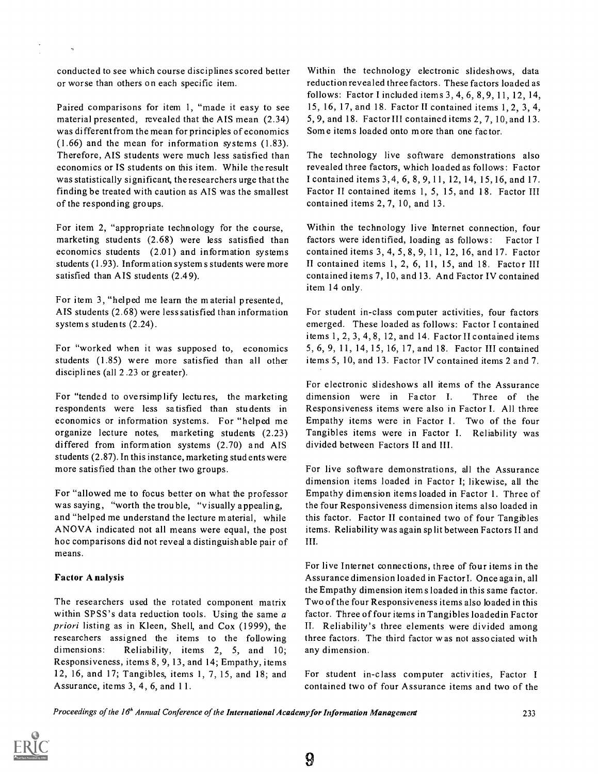conducted to see which course disciplines scored better or worse than others on each specific item.

Paired comparisons for item 1, "made it easy to see material presented, revealed that the AIS mean (2.34) was different from the mean for principles of economics (1.66) and the mean for information systems (1.83). Therefore, AIS students were much less satisfied than economics or IS students on this item. While the result was statistically significant, the researchers urge that the finding be treated with caution as AIS was the smallest of the responding groups.

For item 2, "appropriate technology for the course, marketing students (2.68) were less satisfied than economics students (2.01) and information systems students (1.93). Information system s students were more satisfied than AIS students (2.49).

For item 3, "helped me learn the material presented, AIS students (2.68) were less satisfied than information system s students  $(2.24)$ .

For "worked when it was supposed to, economics students (1.85) were more satisfied than all other disciplines (all 2.23 or greater).

For "tended to oversimplify lectures, the marketing respondents were less satisfied than students in economics or information systems. For "helped me organize lecture notes, marketing students (2.23) differed from information systems (2.70) and AIS students (2.87). In this instance, marketing students were more satisfied than the other two groups.

For "allowed me to focus better on what the professor was saying, "worth the trouble, "visually appealing, and "helped me understand the lecture material, while ANOVA indicated not all means were equal, the post hoc comparisons did not reveal a distinguish able pair of means.

### Factor A nalysis

The researchers used the rotated component matrix within SPSS's data reduction tools. Using the same a priori listing as in Kleen, Shell, and Cox (1999), the researchers assigned the items to the following dimensions: Reliability, items 2, 5, and 10; Responsiveness, items 8, 9, 13, and 14; Empathy, items 12, 16, and 17; Tangibles, items 1, 7, 15, and 18; and Assurance, items 3, 4, 6, and 11.

Within the technology electronic slideshows, data reduction revealed three factors. These factors loaded as follows: Factor I included items 3, 4, 6, 8, 9, 11, 12, 14, 15, 16, 17, and 18. Factor II contained items 1, 2, 3, 4, 5, 9, and 18. Factor III contained items 2, 7, 10, and 13. Some items loaded onto m ore than one fac tor.

The technology live software demonstrations also revealed three factors, which loaded as follows : Factor I contained items 3,4, 6, 8, 9,11, 12, 14, 15,16, and 17. Factor II contained items 1, 5, 15, and 18. Factor III contained items 2, 7, 10, and 13.

Within the technology live Internet connection, four factors were identified, loading as follows: Factor I contained items 3, 4, 5, 8, 9, 11, 12, 16, and 17. Factor II contained items 1, 2, 6, 11, 15, and 18. Factor III contained items 7, 10, and 13. And Factor IV contained item 14 only.

For student in-class computer activities, four factors emerged. These loaded as follows: Factor I contained items 1, 2, 3, 4, 8, 12, and 14. Factor II contained items 5, 6, 9, 11, 14, 15, 16, 17, and 18. Factor III contained items 5, 10, and 13. Factor IV contained items 2 and 7.

For electronic slideshows all items of the Assurance dimension were in Factor I. Three of the Responsiveness items were also in Factor I. All three Empathy items were in Factor I. Two of the four Tangibles items were in Factor I. Reliability was divided between Factors II and III.

For live software demonstrations, all the Assurance dimension items loaded in Factor I; likewise, all the Empathy dimension items loaded in Factor 1. Three of the four Responsiveness dimension items also loaded in this factor. Factor II contained two of four Tangibles items. Reliability was again sp lit between Factors II and III.

For live Internet connections, three of four items in the Assurance dimension loaded in Factorl. Once again, all the Empathy dimension item s loaded in this same factor. Two of the four Responsiveness items also loaded in this factor. Three of four items in Tangibles loaded in Factor II. Reliability's three elements were divided among three factors. The third factor was not associated with any dimension.

For student in-class computer activities, Factor <sup>I</sup> contained two of four Assurance items and two of the

Proceedings of the 16<sup>h</sup> Annual Conference of the International Academy for Information Management 233

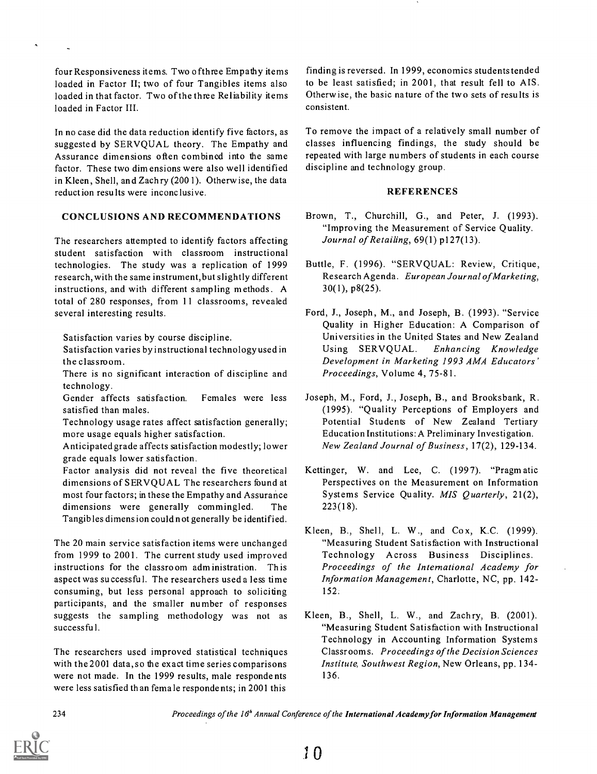four Responsiveness items. Two ofthree Empathy items loaded in Factor II; two of four Tangibles items also loaded in that factor. Two of the three Reliability items loaded in Factor III.

In no case did the data reduction identify five factors, as suggested by SERVQUAL theory. The Empathy and Assurance dimensions often combined into the same factor. These two dim ensions were also well identified in Kleen, Shell, and Zachry (200 1). Otherwise, the data reduct ion resu Its were inconclusive.

### CONCLUSIONS AND RECOMMENDATIONS

The researchers attempted to identify factors affecting student satisfaction with classroom instructional technologies. The study was a replication of 1999 research, with the same instrument, but slightly different instructions, and with different sampling m ethods . A total of 280 responses, from 11 classrooms, revealed several interesting results.

Satisfaction varies by course discipline.

- Satisfaction varies by instructional technology used in Using SERVQUAL. the classroom.
- There is no significant interaction of discipline and technology.
- Gender affects satisfaction. Females were less satisfied than males.
- Technology usage rates affect satisfaction generally; more usage equals higher satisfaction.
- Anticipated grade affects satisfaction modestly; lower grade equals lower satisfaction.
- Factor analysis did not reveal the five theoretical dimensions of SERVQUAL The researchers found at most four factors; in these the Empathy and Assurance dimensions were generally commingled. The Tangib les dimens ion could not generally be identified.

The 20 main service satisfaction items were unchanged from 1999 to 2001. The current study used improved instructions for the classroom administration. This aspect was successful. The researchers used a less time consuming, but less personal approach to soliciting participants, and the smaller number of responses suggests the sampling methodology was not as successful.

The researchers used improved statistical techniques with the2001 data, so the exact time series comparisons were not made. In the 1999 results, male respondents were less satisfied than female respondents; in 2001 this

finding is reversed. In 1999, economics students tended to be least satisfied; in 2001, that result fell to AIS. Otherwise, the basic nature of the two sets of results is consistent.

To remove the impact of a relatively small number of classes influencing findings, the study should be repeated with large numbers of students in each course discipline and technology group.

#### REFERENCES

- Brown, T., Churchill, G., and Peter, J. (1993). "Improving the Measurement of Service Quality. Journal of Retailing, 69(1) p127(13).
- Buttle, F. (1996). "SERVQUAL: Review, Critique, Research Agenda. European Journal of Marketing, 30(1), p8(25).
- Ford, J., Joseph, M., and Joseph, B. (1993). "Service Quality in Higher Education: A Comparison of Universities in the United States and New Zealand Enhancing Knowledge Development in Marketing 1993 AMA Educators' Proceedings, Volume 4, 75-81.
- Joseph, M., Ford, J., Joseph, B., and Brooksbank, R. (1995). "Quality Perceptions of Employers and Potential Students of New Zealand Tertiary Education Institutions: A Preliminary Investigation. New Zealand Journal of Business, 17(2), 129-134.
- Kettinger, W. and Lee, C. (1997). "Pragmatic Perspectives on the Measurement on Information Systems Service Quality. MIS Quarterly, 21(2), 223(18).
- Kleen, B., Shell, L. W., and Cox, K.C. (1999). "Measuring Student Satisfaction with Instructional Technology Across Business Disciplines. Proceedings of the International Academy for Information Management, Charlotte, NC, pp. 142- 152:
- Kleen, B., Shell, L. W., and Zachry, B. (2001). "Measuring Student Satisfaction with Instructional Technology in Accounting Information Systems Classrooms. Proceedings of the Decision Sciences Institute, Southwest Region, New Orleans, pp. 134- 136.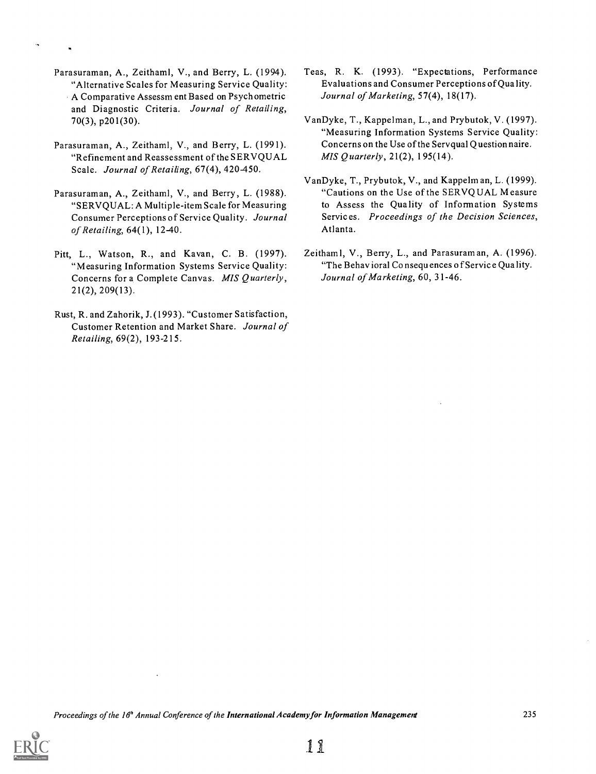- Parasuraman, A., Zeithaml, V., and Berry, L. (1994). "Alternative Scales for Measuring Service Quality: A Comparative Assessm ent Based on Psych ometric and Diagnostic Criteria. Journal of Retailing, 70(3), p201(30).
- Parasuraman, A., Zeithaml, V., and Berry, L. (1991). "Refinement and Reassessment of the SERVQUAL Scale. Journal of Retailing, 67(4), 420-450.
- Parasuraman, A., Zeithaml, V., and Berry, L. (1988). "SERVQUAL: A Multiple-item Scale for Measuring Consumer Perceptions of Service Quality. Journal of Retailing, 64(1), 12-40.
- Pitt, L., Watson, R., and Kavan, C. B. (1997). "Measuring Information Systems Service Quality: Concerns for a Complete Canvas. MIS Quarterly, 21(2), 209(13).
- Rust, R. and Zahorik, J. (1993). "Customer Satisfaction, Customer Retention and Market Share. Journal of Retailing, 69(2), 193-215.
- Teas, R. K. (1993). "Expectations, Performance Evaluations and Consumer Perceptions of Qua lity. Journal of Marketing, 57(4), 18(17).
- VanDyke, T., Kappelman, L., and Prybutok, V. (1997). "Measuring Information Systems Service Quality: Concerns on the Use of the Servqual Questionnaire. MIS Quarterly, 21(2), 195(14).
- VanDyke, T., Prybutok, V., and Kappelman, L. (1999). "Cautions on the Use of the SERVQUAL Measure to Assess the Qua lity of Information Systems Services. Proceedings of the Decision Sciences, Atlanta.
- Zeithaml, V., Berry, L., and Parasuraman, A. (1996). "The Behavioral Consequences of Service Quality. Journal of Marketing, 60, 31-46.